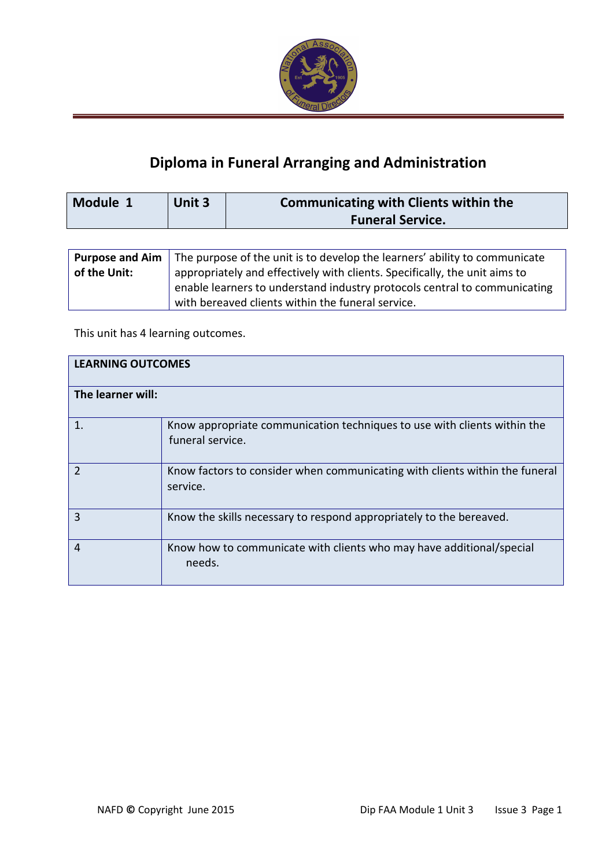

# Diploma in Funeral Arranging and Administration

| Module 1 | Unit 3 | Communicating with Clients within the |
|----------|--------|---------------------------------------|
|          |        | <b>Funeral Service.</b>               |

|              | <b>Purpose and Aim</b> $\vert$ The purpose of the unit is to develop the learners' ability to communicate |  |
|--------------|-----------------------------------------------------------------------------------------------------------|--|
| of the Unit: | appropriately and effectively with clients. Specifically, the unit aims to                                |  |
|              | enable learners to understand industry protocols central to communicating                                 |  |
|              | with bereaved clients within the funeral service.                                                         |  |

This unit has 4 learning outcomes.

| <b>LEARNING OUTCOMES</b> |                                                                                              |  |
|--------------------------|----------------------------------------------------------------------------------------------|--|
| The learner will:        |                                                                                              |  |
| 1.                       | Know appropriate communication techniques to use with clients within the<br>funeral service. |  |
| $\mathcal{P}$            | Know factors to consider when communicating with clients within the funeral<br>service.      |  |
| 3                        | Know the skills necessary to respond appropriately to the bereaved.                          |  |
| 4                        | Know how to communicate with clients who may have additional/special<br>needs.               |  |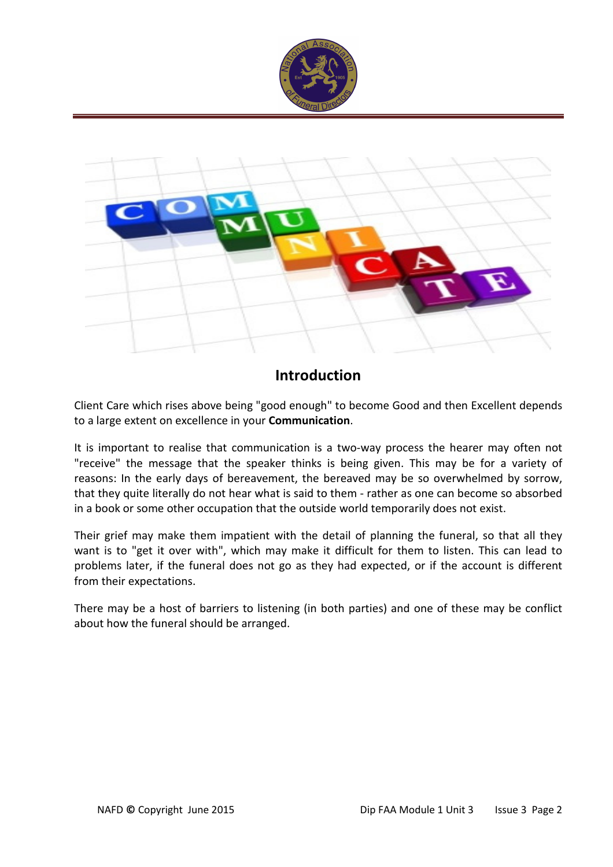



# Introduction

Client Care which rises above being "good enough" to become Good and then Excellent depends to a large extent on excellence in your Communication.

It is important to realise that communication is a two-way process the hearer may often not "receive" the message that the speaker thinks is being given. This may be for a variety of reasons: In the early days of bereavement, the bereaved may be so overwhelmed by sorrow, that they quite literally do not hear what is said to them - rather as one can become so absorbed in a book or some other occupation that the outside world temporarily does not exist.

Their grief may make them impatient with the detail of planning the funeral, so that all they want is to "get it over with", which may make it difficult for them to listen. This can lead to problems later, if the funeral does not go as they had expected, or if the account is different from their expectations.

There may be a host of barriers to listening (in both parties) and one of these may be conflict about how the funeral should be arranged.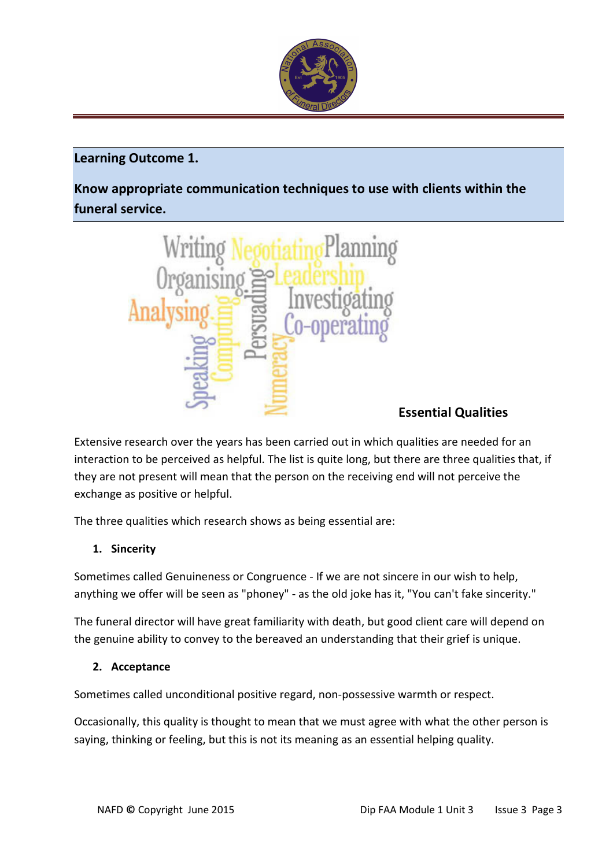

# Learning Outcome 1.

Know appropriate communication techniques to use with clients within the funeral service.



# Essential Qualities

Extensive research over the years has been carried out in which qualities are needed for an interaction to be perceived as helpful. The list is quite long, but there are three qualities that, if they are not present will mean that the person on the receiving end will not perceive the exchange as positive or helpful.

The three qualities which research shows as being essential are:

## 1. Sincerity

Sometimes called Genuineness or Congruence - If we are not sincere in our wish to help, anything we offer will be seen as "phoney" - as the old joke has it, "You can't fake sincerity."

The funeral director will have great familiarity with death, but good client care will depend on the genuine ability to convey to the bereaved an understanding that their grief is unique.

#### 2. Acceptance

Sometimes called unconditional positive regard, non-possessive warmth or respect.

Occasionally, this quality is thought to mean that we must agree with what the other person is saying, thinking or feeling, but this is not its meaning as an essential helping quality.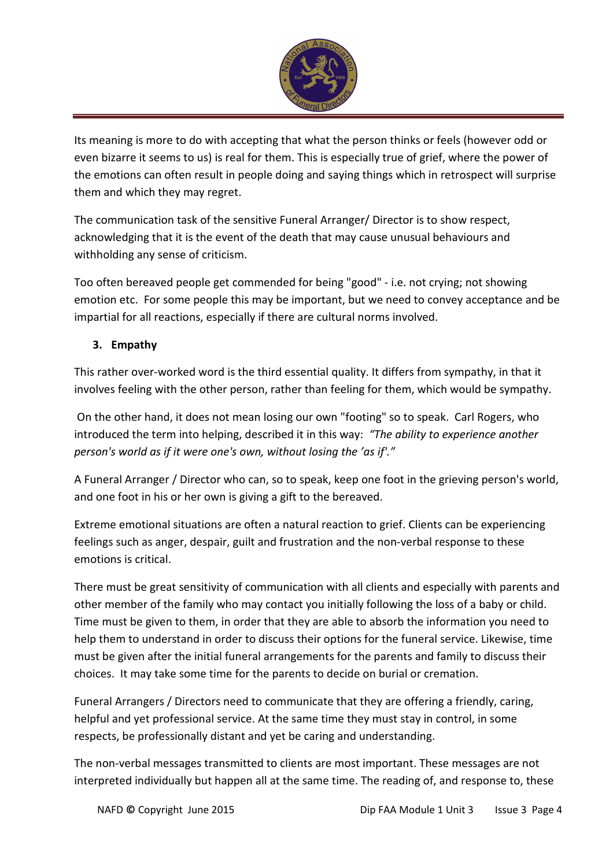

Its meaning is more to do with accepting that what the person thinks or feels (however odd or even bizarre it seems to us) is real for them. This is especially true of grief, where the power of the emotions can often result in people doing and saying things which in retrospect will surprise them and which they may regret.

The communication task of the sensitive Funeral Arranger/ Director is to show respect, acknowledging that it is the event of the death that may cause unusual behaviours and withholding any sense of criticism.

Too often bereaved people get commended for being "good" - i.e. not crying; not showing emotion etc. For some people this may be important, but we need to convey acceptance and be impartial for all reactions, especially if there are cultural norms involved.

# 3. Empathy

This rather over-worked word is the third essential quality. It differs from sympathy, in that it involves feeling with the other person, rather than feeling for them, which would be sympathy.

 On the other hand, it does not mean losing our own "footing" so to speak. Carl Rogers, who introduced the term into helping, described it in this way: "The ability to experience another person's world as if it were one's own, without losing the 'as if'."

A Funeral Arranger / Director who can, so to speak, keep one foot in the grieving person's world, and one foot in his or her own is giving a gift to the bereaved.

Extreme emotional situations are often a natural reaction to grief. Clients can be experiencing feelings such as anger, despair, guilt and frustration and the non-verbal response to these emotions is critical.

There must be great sensitivity of communication with all clients and especially with parents and other member of the family who may contact you initially following the loss of a baby or child. Time must be given to them, in order that they are able to absorb the information you need to help them to understand in order to discuss their options for the funeral service. Likewise, time must be given after the initial funeral arrangements for the parents and family to discuss their choices. It may take some time for the parents to decide on burial or cremation.

Funeral Arrangers / Directors need to communicate that they are offering a friendly, caring, helpful and yet professional service. At the same time they must stay in control, in some respects, be professionally distant and yet be caring and understanding.

The non-verbal messages transmitted to clients are most important. These messages are not interpreted individually but happen all at the same time. The reading of, and response to, these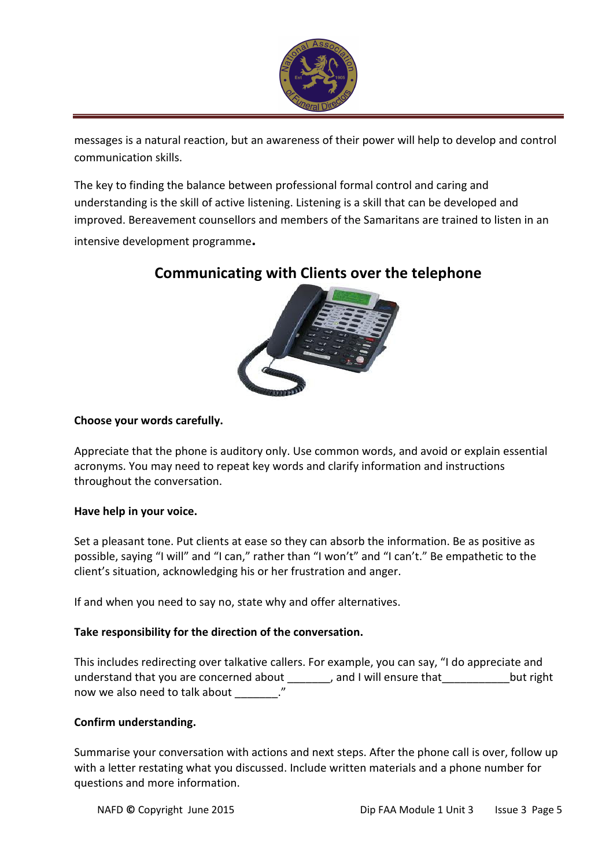

messages is a natural reaction, but an awareness of their power will help to develop and control communication skills.

The key to finding the balance between professional formal control and caring and understanding is the skill of active listening. Listening is a skill that can be developed and improved. Bereavement counsellors and members of the Samaritans are trained to listen in an intensive development programme.

# Communicating with Clients over the telephone



#### Choose your words carefully.

Appreciate that the phone is auditory only. Use common words, and avoid or explain essential acronyms. You may need to repeat key words and clarify information and instructions throughout the conversation.

#### Have help in your voice.

Set a pleasant tone. Put clients at ease so they can absorb the information. Be as positive as possible, saying "I will" and "I can," rather than "I won't" and "I can't." Be empathetic to the client's situation, acknowledging his or her frustration and anger.

If and when you need to say no, state why and offer alternatives.

#### Take responsibility for the direction of the conversation.

This includes redirecting over talkative callers. For example, you can say, "I do appreciate and understand that you are concerned about and I will ensure that but right now we also need to talk about  $\cdot$ "

#### Confirm understanding.

Summarise your conversation with actions and next steps. After the phone call is over, follow up with a letter restating what you discussed. Include written materials and a phone number for questions and more information.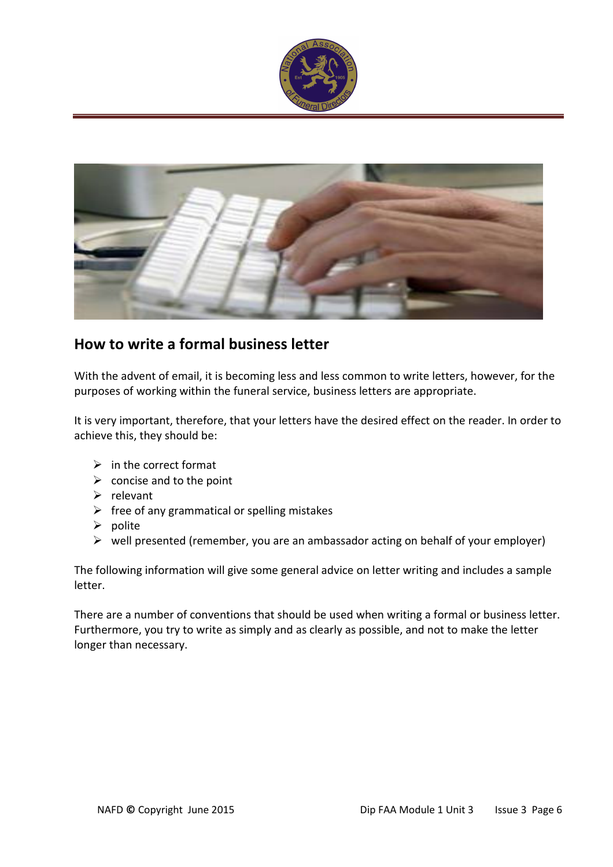



# How to write a formal business letter

With the advent of email, it is becoming less and less common to write letters, however, for the purposes of working within the funeral service, business letters are appropriate.

It is very important, therefore, that your letters have the desired effect on the reader. In order to achieve this, they should be:

- $\triangleright$  in the correct format
- $\triangleright$  concise and to the point
- $\triangleright$  relevant
- $\triangleright$  free of any grammatical or spelling mistakes
- $\triangleright$  polite
- $\triangleright$  well presented (remember, you are an ambassador acting on behalf of your employer)

The following information will give some general advice on letter writing and includes a sample letter.

There are a number of conventions that should be used when writing a formal or business letter. Furthermore, you try to write as simply and as clearly as possible, and not to make the letter longer than necessary.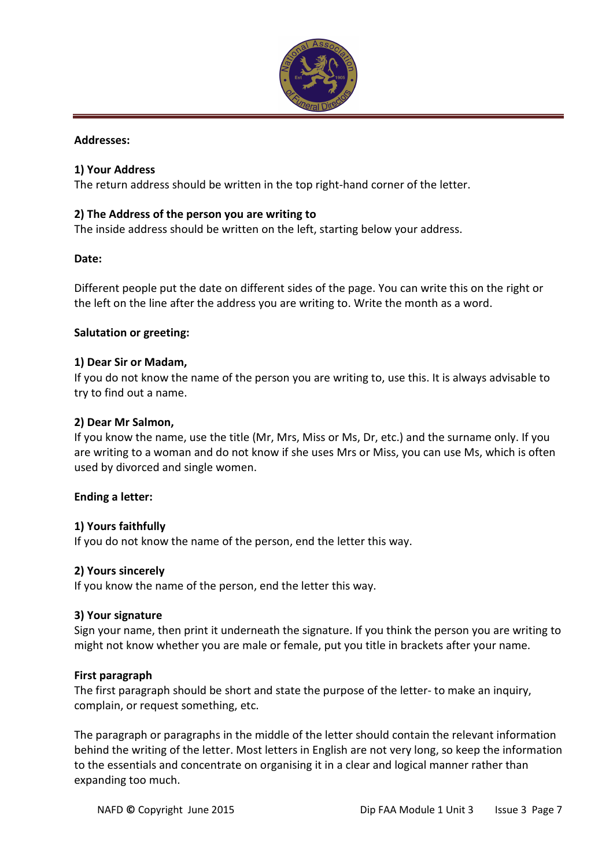

#### Addresses:

#### 1) Your Address

The return address should be written in the top right-hand corner of the letter.

#### 2) The Address of the person you are writing to

The inside address should be written on the left, starting below your address.

#### Date:

Different people put the date on different sides of the page. You can write this on the right or the left on the line after the address you are writing to. Write the month as a word.

#### Salutation or greeting:

#### 1) Dear Sir or Madam,

If you do not know the name of the person you are writing to, use this. It is always advisable to try to find out a name.

#### 2) Dear Mr Salmon,

If you know the name, use the title (Mr, Mrs, Miss or Ms, Dr, etc.) and the surname only. If you are writing to a woman and do not know if she uses Mrs or Miss, you can use Ms, which is often used by divorced and single women.

#### Ending a letter:

#### 1) Yours faithfully

If you do not know the name of the person, end the letter this way.

#### 2) Yours sincerely

If you know the name of the person, end the letter this way.

#### 3) Your signature

Sign your name, then print it underneath the signature. If you think the person you are writing to might not know whether you are male or female, put you title in brackets after your name.

#### First paragraph

The first paragraph should be short and state the purpose of the letter- to make an inquiry, complain, or request something, etc.

The paragraph or paragraphs in the middle of the letter should contain the relevant information behind the writing of the letter. Most letters in English are not very long, so keep the information to the essentials and concentrate on organising it in a clear and logical manner rather than expanding too much.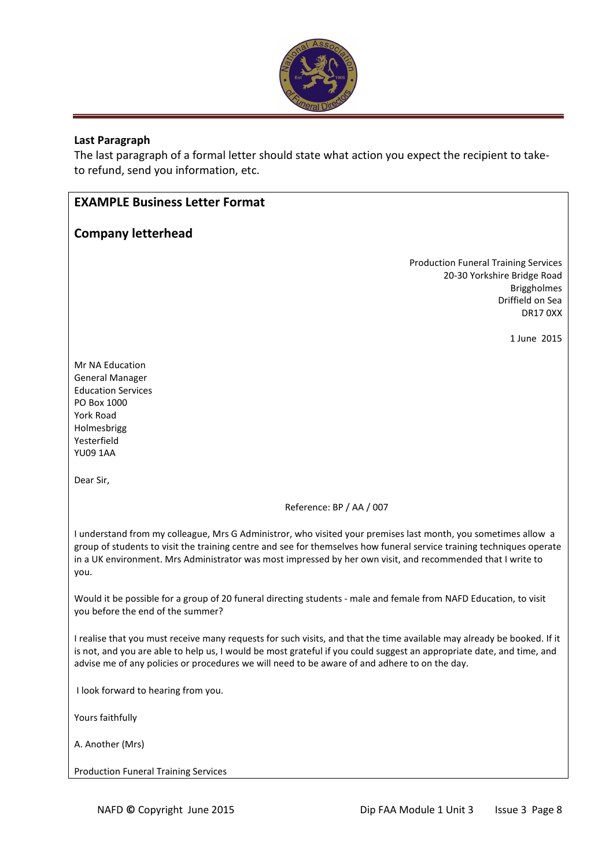

#### Last Paragraph

The last paragraph of a formal letter should state what action you expect the recipient to taketo refund, send you information, etc.

## EXAMPLE Business Letter Format

#### Company letterhead

Production Funeral Training Services 20-30 Yorkshire Bridge Road Briggholmes Driffield on Sea DR17 0XX

1 June 2015

Mr NA Education General Manager Education Services PO Box 1000 York Road Holmesbrigg Yesterfield YU09 1AA

Dear Sir,

Reference: BP / AA / 007

I understand from my colleague, Mrs G Administror, who visited your premises last month, you sometimes allow a group of students to visit the training centre and see for themselves how funeral service training techniques operate in a UK environment. Mrs Administrator was most impressed by her own visit, and recommended that I write to you.

Would it be possible for a group of 20 funeral directing students - male and female from NAFD Education, to visit you before the end of the summer?

I realise that you must receive many requests for such visits, and that the time available may already be booked. If it is not, and you are able to help us, I would be most grateful if you could suggest an appropriate date, and time, and advise me of any policies or procedures we will need to be aware of and adhere to on the day.

I look forward to hearing from you.

Yours faithfully

A. Another (Mrs)

Production Funeral Training Services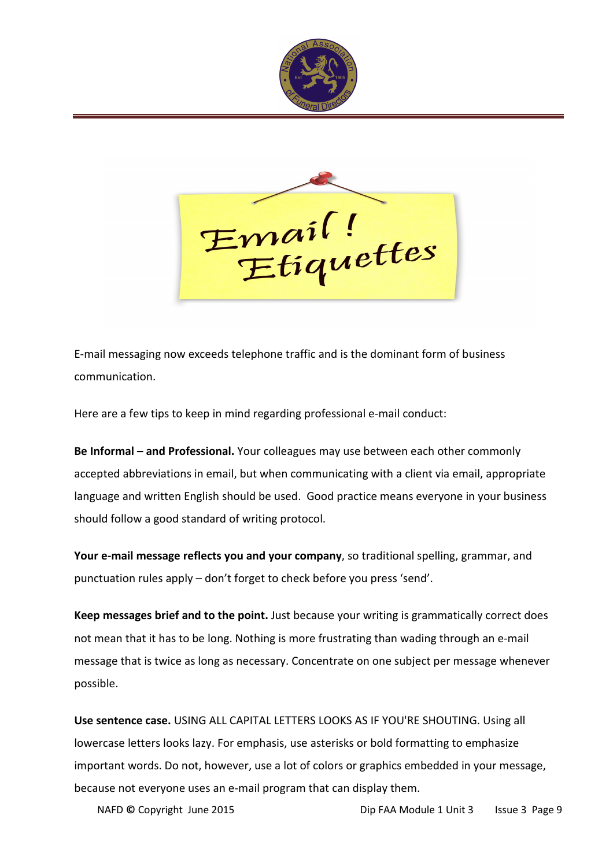



E-mail messaging now exceeds telephone traffic and is the dominant form of business communication.

Here are a few tips to keep in mind regarding professional e-mail conduct:

Be Informal – and Professional. Your colleagues may use between each other commonly accepted abbreviations in email, but when communicating with a client via email, appropriate language and written English should be used. Good practice means everyone in your business should follow a good standard of writing protocol.

Your e-mail message reflects you and your company, so traditional spelling, grammar, and punctuation rules apply – don't forget to check before you press 'send'.

Keep messages brief and to the point. Just because your writing is grammatically correct does not mean that it has to be long. Nothing is more frustrating than wading through an e-mail message that is twice as long as necessary. Concentrate on one subject per message whenever possible.

Use sentence case. USING ALL CAPITAL LETTERS LOOKS AS IF YOU'RE SHOUTING. Using all lowercase letters looks lazy. For emphasis, use asterisks or bold formatting to emphasize important words. Do not, however, use a lot of colors or graphics embedded in your message, because not everyone uses an e-mail program that can display them.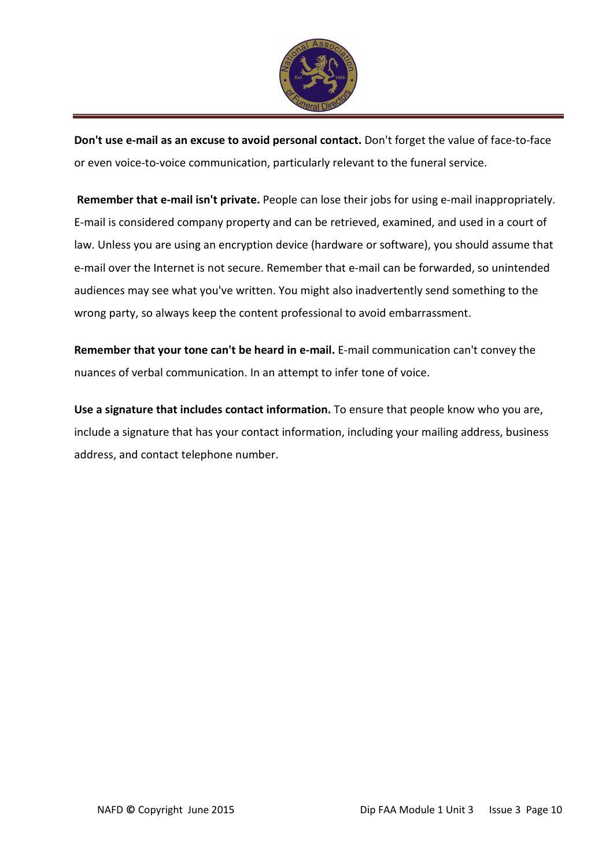

Don't use e-mail as an excuse to avoid personal contact. Don't forget the value of face-to-face or even voice-to-voice communication, particularly relevant to the funeral service.

Remember that e-mail isn't private. People can lose their jobs for using e-mail inappropriately. E-mail is considered company property and can be retrieved, examined, and used in a court of law. Unless you are using an encryption device (hardware or software), you should assume that e-mail over the Internet is not secure. Remember that e-mail can be forwarded, so unintended audiences may see what you've written. You might also inadvertently send something to the wrong party, so always keep the content professional to avoid embarrassment.

Remember that your tone can't be heard in e-mail. E-mail communication can't convey the nuances of verbal communication. In an attempt to infer tone of voice.

Use a signature that includes contact information. To ensure that people know who you are, include a signature that has your contact information, including your mailing address, business address, and contact telephone number.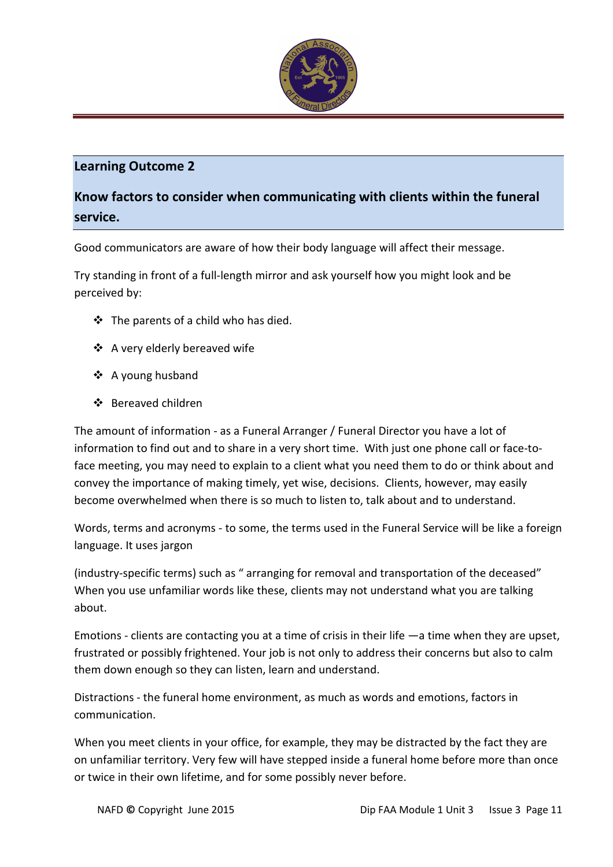

## Learning Outcome 2

# Know factors to consider when communicating with clients within the funeral service.

Good communicators are aware of how their body language will affect their message.

Try standing in front of a full-length mirror and ask yourself how you might look and be perceived by:

- The parents of a child who has died.
- ❖ A very elderly bereaved wife
- A young husband
- Bereaved children

The amount of information - as a Funeral Arranger / Funeral Director you have a lot of information to find out and to share in a very short time. With just one phone call or face-toface meeting, you may need to explain to a client what you need them to do or think about and convey the importance of making timely, yet wise, decisions. Clients, however, may easily become overwhelmed when there is so much to listen to, talk about and to understand.

Words, terms and acronyms - to some, the terms used in the Funeral Service will be like a foreign language. It uses jargon

(industry-specific terms) such as " arranging for removal and transportation of the deceased" When you use unfamiliar words like these, clients may not understand what you are talking about.

Emotions - clients are contacting you at a time of crisis in their life —a time when they are upset, frustrated or possibly frightened. Your job is not only to address their concerns but also to calm them down enough so they can listen, learn and understand.

Distractions - the funeral home environment, as much as words and emotions, factors in communication.

When you meet clients in your office, for example, they may be distracted by the fact they are on unfamiliar territory. Very few will have stepped inside a funeral home before more than once or twice in their own lifetime, and for some possibly never before.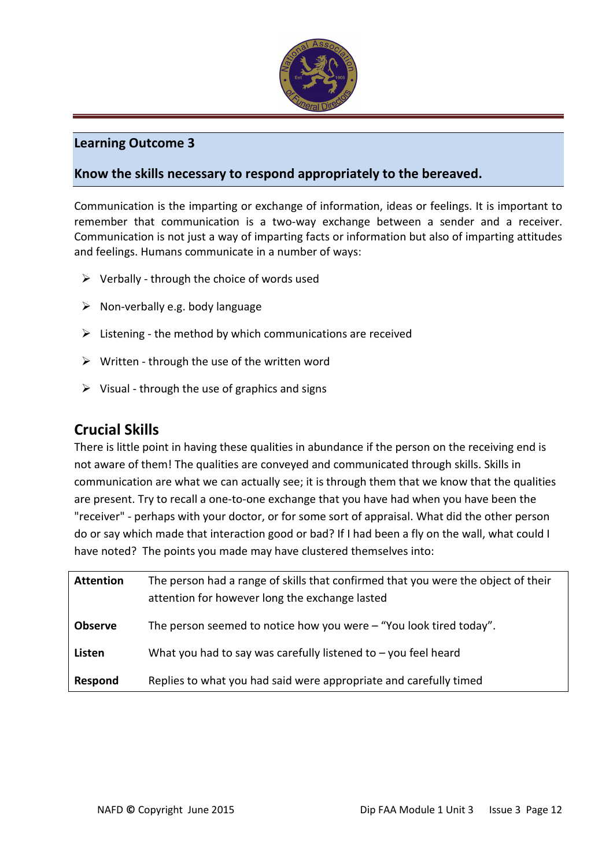

## Learning Outcome 3

# Know the skills necessary to respond appropriately to the bereaved.

Communication is the imparting or exchange of information, ideas or feelings. It is important to remember that communication is a two-way exchange between a sender and a receiver. Communication is not just a way of imparting facts or information but also of imparting attitudes and feelings. Humans communicate in a number of ways:

- $\triangleright$  Verbally through the choice of words used
- $\triangleright$  Non-verbally e.g. body language
- $\triangleright$  Listening the method by which communications are received
- $\triangleright$  Written through the use of the written word
- $\triangleright$  Visual through the use of graphics and signs

# Crucial Skills

There is little point in having these qualities in abundance if the person on the receiving end is not aware of them! The qualities are conveyed and communicated through skills. Skills in communication are what we can actually see; it is through them that we know that the qualities are present. Try to recall a one-to-one exchange that you have had when you have been the "receiver" - perhaps with your doctor, or for some sort of appraisal. What did the other person do or say which made that interaction good or bad? If I had been a fly on the wall, what could I have noted? The points you made may have clustered themselves into:

| <b>Attention</b> | The person had a range of skills that confirmed that you were the object of their<br>attention for however long the exchange lasted |
|------------------|-------------------------------------------------------------------------------------------------------------------------------------|
| <b>Observe</b>   | The person seemed to notice how you were $-$ "You look tired today".                                                                |
| Listen           | What you had to say was carefully listened to $-$ you feel heard                                                                    |
| Respond          | Replies to what you had said were appropriate and carefully timed                                                                   |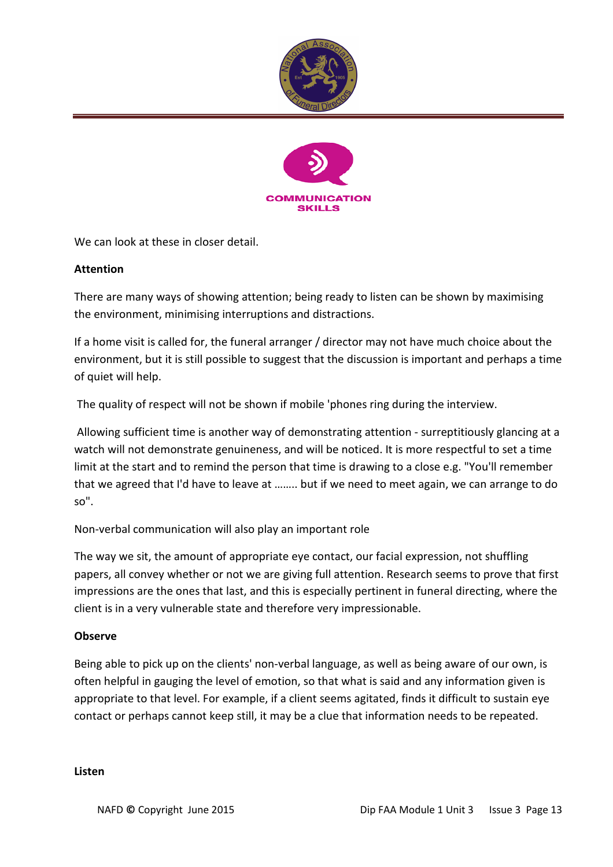



We can look at these in closer detail.

#### **Attention**

There are many ways of showing attention; being ready to listen can be shown by maximising the environment, minimising interruptions and distractions.

If a home visit is called for, the funeral arranger / director may not have much choice about the environment, but it is still possible to suggest that the discussion is important and perhaps a time of quiet will help.

The quality of respect will not be shown if mobile 'phones ring during the interview.

 Allowing sufficient time is another way of demonstrating attention - surreptitiously glancing at a watch will not demonstrate genuineness, and will be noticed. It is more respectful to set a time limit at the start and to remind the person that time is drawing to a close e.g. "You'll remember that we agreed that I'd have to leave at …….. but if we need to meet again, we can arrange to do so".

Non-verbal communication will also play an important role

The way we sit, the amount of appropriate eye contact, our facial expression, not shuffling papers, all convey whether or not we are giving full attention. Research seems to prove that first impressions are the ones that last, and this is especially pertinent in funeral directing, where the client is in a very vulnerable state and therefore very impressionable.

#### Observe

Being able to pick up on the clients' non-verbal language, as well as being aware of our own, is often helpful in gauging the level of emotion, so that what is said and any information given is appropriate to that level. For example, if a client seems agitated, finds it difficult to sustain eye contact or perhaps cannot keep still, it may be a clue that information needs to be repeated.

#### Listen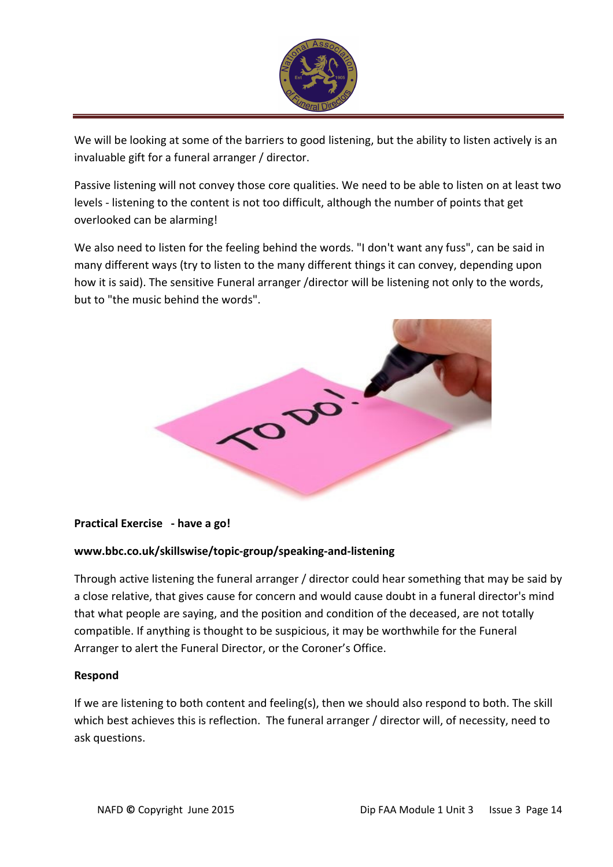

We will be looking at some of the barriers to good listening, but the ability to listen actively is an invaluable gift for a funeral arranger / director.

Passive listening will not convey those core qualities. We need to be able to listen on at least two levels - listening to the content is not too difficult, although the number of points that get overlooked can be alarming!

We also need to listen for the feeling behind the words. "I don't want any fuss", can be said in many different ways (try to listen to the many different things it can convey, depending upon how it is said). The sensitive Funeral arranger /director will be listening not only to the words, but to "the music behind the words".



#### Practical Exercise - have a go!

#### www.bbc.co.uk/skillswise/topic-group/speaking-and-listening

Through active listening the funeral arranger / director could hear something that may be said by a close relative, that gives cause for concern and would cause doubt in a funeral director's mind that what people are saying, and the position and condition of the deceased, are not totally compatible. If anything is thought to be suspicious, it may be worthwhile for the Funeral Arranger to alert the Funeral Director, or the Coroner's Office.

#### Respond

If we are listening to both content and feeling(s), then we should also respond to both. The skill which best achieves this is reflection. The funeral arranger / director will, of necessity, need to ask questions.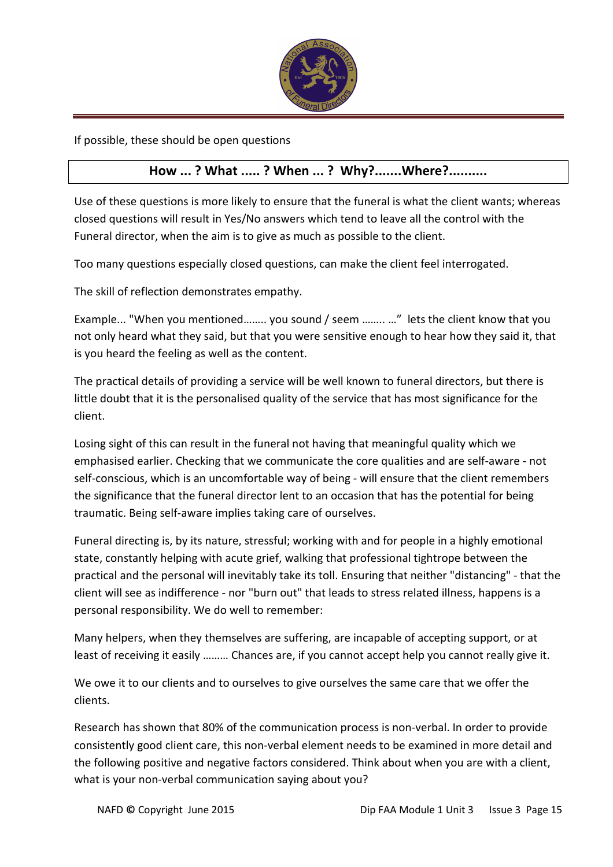

If possible, these should be open questions

# How ... ? What ..... ? When ... ? Why?.......Where?..........

Use of these questions is more likely to ensure that the funeral is what the client wants; whereas closed questions will result in Yes/No answers which tend to leave all the control with the Funeral director, when the aim is to give as much as possible to the client.

Too many questions especially closed questions, can make the client feel interrogated.

The skill of reflection demonstrates empathy.

Example... "When you mentioned…….. you sound / seem …….. …" lets the client know that you not only heard what they said, but that you were sensitive enough to hear how they said it, that is you heard the feeling as well as the content.

The practical details of providing a service will be well known to funeral directors, but there is little doubt that it is the personalised quality of the service that has most significance for the client.

Losing sight of this can result in the funeral not having that meaningful quality which we emphasised earlier. Checking that we communicate the core qualities and are self-aware - not self-conscious, which is an uncomfortable way of being - will ensure that the client remembers the significance that the funeral director lent to an occasion that has the potential for being traumatic. Being self-aware implies taking care of ourselves.

Funeral directing is, by its nature, stressful; working with and for people in a highly emotional state, constantly helping with acute grief, walking that professional tightrope between the practical and the personal will inevitably take its toll. Ensuring that neither "distancing" - that the client will see as indifference - nor "burn out" that leads to stress related illness, happens is a personal responsibility. We do well to remember:

Many helpers, when they themselves are suffering, are incapable of accepting support, or at least of receiving it easily ……… Chances are, if you cannot accept help you cannot really give it.

We owe it to our clients and to ourselves to give ourselves the same care that we offer the clients.

Research has shown that 80% of the communication process is non-verbal. In order to provide consistently good client care, this non-verbal element needs to be examined in more detail and the following positive and negative factors considered. Think about when you are with a client, what is your non-verbal communication saying about you?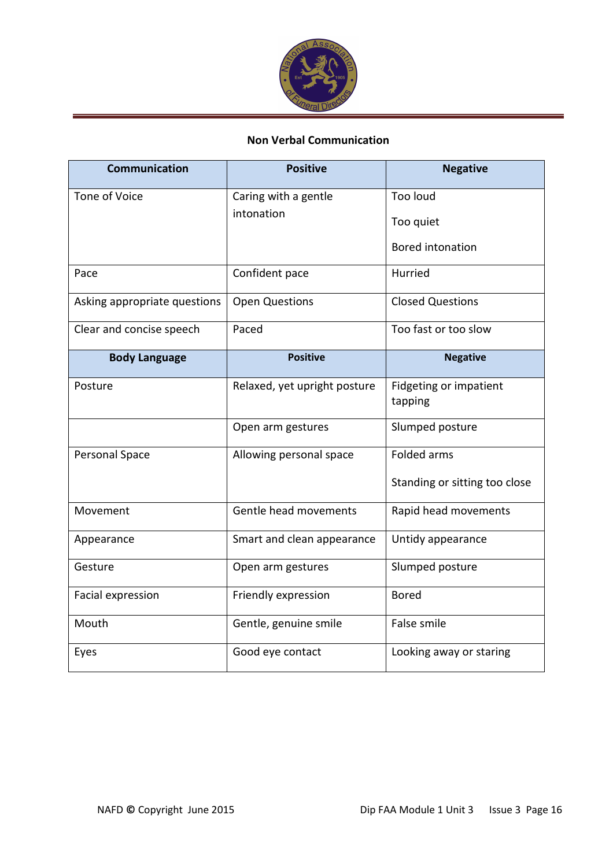

# Non Verbal Communication

| <b>Communication</b>         | <b>Positive</b>              | <b>Negative</b>                   |
|------------------------------|------------------------------|-----------------------------------|
| Tone of Voice                | Caring with a gentle         | Too loud                          |
|                              | intonation                   | Too quiet                         |
|                              |                              | <b>Bored intonation</b>           |
| Pace                         | Confident pace               | Hurried                           |
| Asking appropriate questions | <b>Open Questions</b>        | <b>Closed Questions</b>           |
| Clear and concise speech     | Paced                        | Too fast or too slow              |
| <b>Body Language</b>         | <b>Positive</b>              | <b>Negative</b>                   |
| Posture                      | Relaxed, yet upright posture | Fidgeting or impatient<br>tapping |
|                              | Open arm gestures            | Slumped posture                   |
| Personal Space               | Allowing personal space      | <b>Folded arms</b>                |
|                              |                              | Standing or sitting too close     |
| Movement                     | Gentle head movements        | Rapid head movements              |
| Appearance                   | Smart and clean appearance   | Untidy appearance                 |
| Gesture                      | Open arm gestures            | Slumped posture                   |
| Facial expression            | Friendly expression          | <b>Bored</b>                      |
| Mouth                        | Gentle, genuine smile        | False smile                       |
| Eyes                         | Good eye contact             | Looking away or staring           |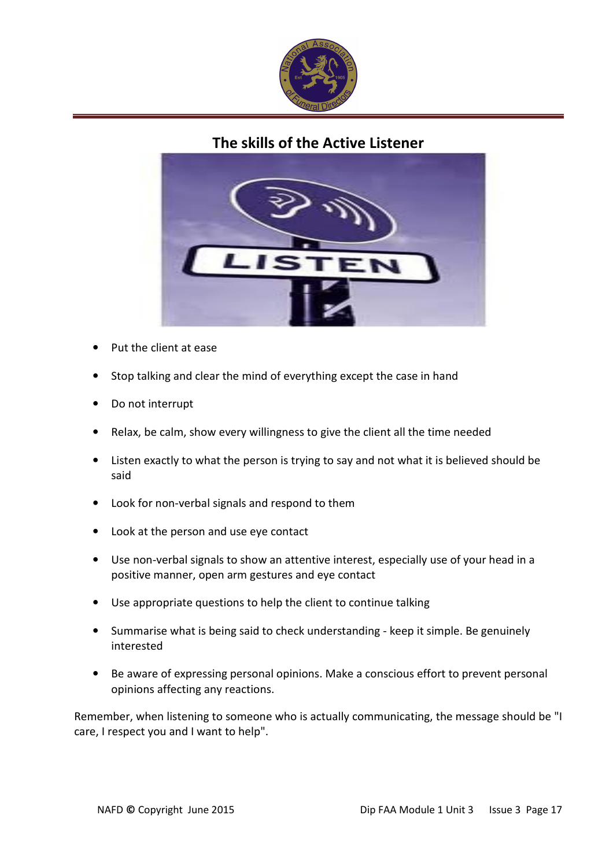

The skills of the Active Listener



- Put the client at ease
- Stop talking and clear the mind of everything except the case in hand
- Do not interrupt
- Relax, be calm, show every willingness to give the client all the time needed
- Listen exactly to what the person is trying to say and not what it is believed should be said
- Look for non-verbal signals and respond to them
- Look at the person and use eye contact
- Use non-verbal signals to show an attentive interest, especially use of your head in a positive manner, open arm gestures and eye contact
- Use appropriate questions to help the client to continue talking
- Summarise what is being said to check understanding keep it simple. Be genuinely interested
- Be aware of expressing personal opinions. Make a conscious effort to prevent personal opinions affecting any reactions.

Remember, when listening to someone who is actually communicating, the message should be "I care, I respect you and I want to help".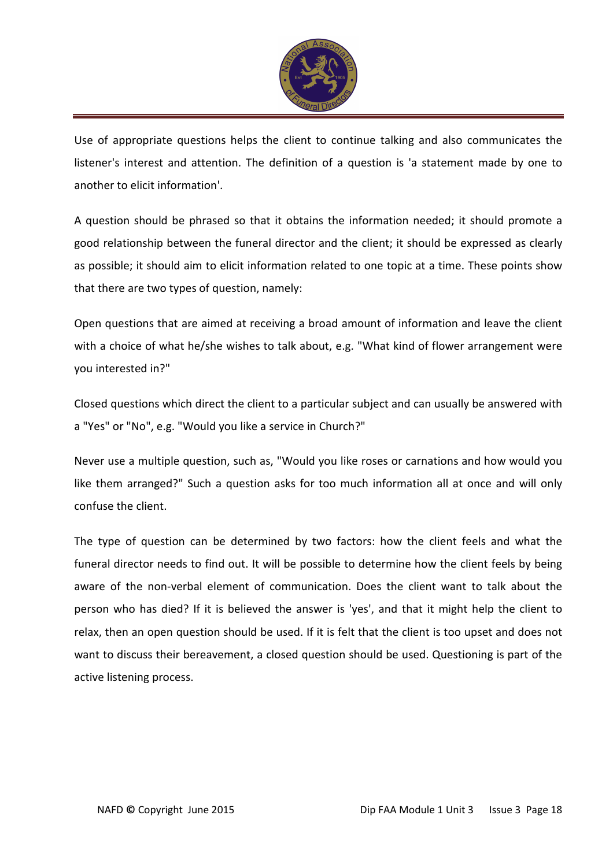

Use of appropriate questions helps the client to continue talking and also communicates the listener's interest and attention. The definition of a question is 'a statement made by one to another to elicit information'.

A question should be phrased so that it obtains the information needed; it should promote a good relationship between the funeral director and the client; it should be expressed as clearly as possible; it should aim to elicit information related to one topic at a time. These points show that there are two types of question, namely:

Open questions that are aimed at receiving a broad amount of information and leave the client with a choice of what he/she wishes to talk about, e.g. "What kind of flower arrangement were you interested in?"

Closed questions which direct the client to a particular subject and can usually be answered with a "Yes" or "No", e.g. "Would you like a service in Church?"

Never use a multiple question, such as, "Would you like roses or carnations and how would you like them arranged?" Such a question asks for too much information all at once and will only confuse the client.

The type of question can be determined by two factors: how the client feels and what the funeral director needs to find out. It will be possible to determine how the client feels by being aware of the non-verbal element of communication. Does the client want to talk about the person who has died? If it is believed the answer is 'yes', and that it might help the client to relax, then an open question should be used. If it is felt that the client is too upset and does not want to discuss their bereavement, a closed question should be used. Questioning is part of the active listening process.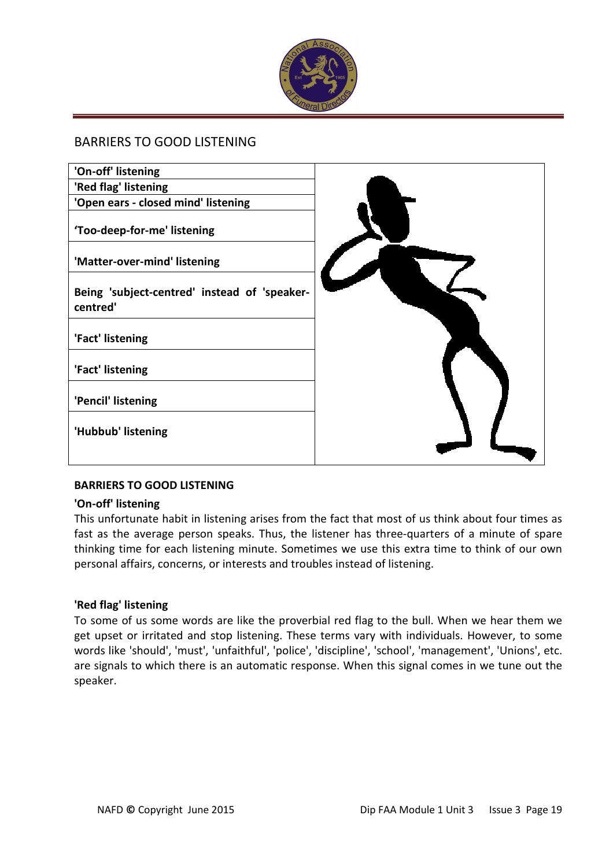

#### BARRIERS TO GOOD LISTENING

| 'On-off' listening                                       |  |
|----------------------------------------------------------|--|
| 'Red flag' listening                                     |  |
| 'Open ears - closed mind' listening                      |  |
| 'Too-deep-for-me' listening                              |  |
| 'Matter-over-mind' listening                             |  |
| Being 'subject-centred' instead of 'speaker-<br>centred' |  |
| 'Fact' listening                                         |  |
| 'Fact' listening                                         |  |
| 'Pencil' listening                                       |  |
| 'Hubbub' listening                                       |  |
|                                                          |  |

#### BARRIERS TO GOOD LISTENING

#### 'On-off' listening

This unfortunate habit in listening arises from the fact that most of us think about four times as fast as the average person speaks. Thus, the listener has three-quarters of a minute of spare thinking time for each listening minute. Sometimes we use this extra time to think of our own personal affairs, concerns, or interests and troubles instead of listening.

#### 'Red flag' listening

To some of us some words are like the proverbial red flag to the bull. When we hear them we get upset or irritated and stop listening. These terms vary with individuals. However, to some words like 'should', 'must', 'unfaithful', 'police', 'discipline', 'school', 'management', 'Unions', etc. are signals to which there is an automatic response. When this signal comes in we tune out the speaker.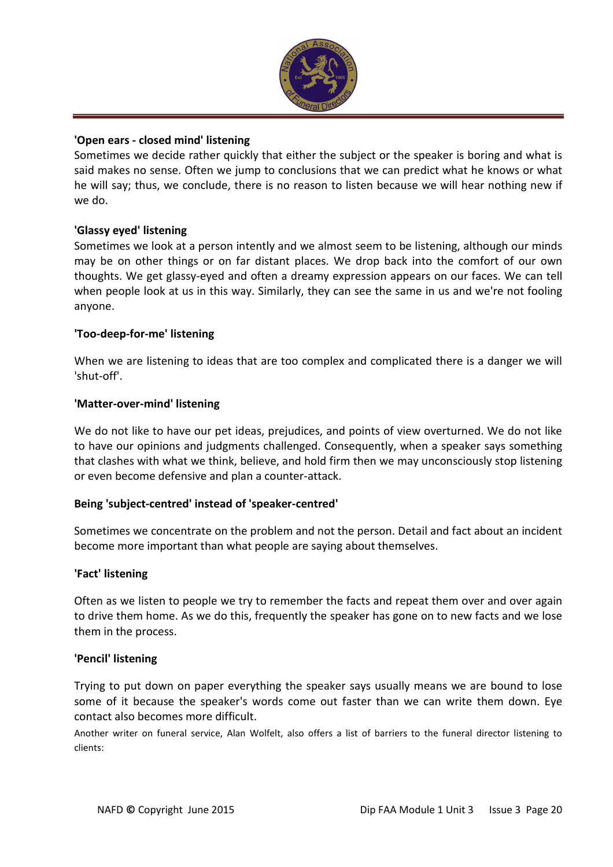

#### 'Open ears - closed mind' listening

Sometimes we decide rather quickly that either the subject or the speaker is boring and what is said makes no sense. Often we jump to conclusions that we can predict what he knows or what he will say; thus, we conclude, there is no reason to listen because we will hear nothing new if we do.

#### 'Glassy eyed' listening

Sometimes we look at a person intently and we almost seem to be listening, although our minds may be on other things or on far distant places. We drop back into the comfort of our own thoughts. We get glassy-eyed and often a dreamy expression appears on our faces. We can tell when people look at us in this way. Similarly, they can see the same in us and we're not fooling anyone.

#### 'Too-deep-for-me' listening

When we are listening to ideas that are too complex and complicated there is a danger we will 'shut-off'.

#### 'Matter-over-mind' listening

We do not like to have our pet ideas, prejudices, and points of view overturned. We do not like to have our opinions and judgments challenged. Consequently, when a speaker says something that clashes with what we think, believe, and hold firm then we may unconsciously stop listening or even become defensive and plan a counter-attack.

#### Being 'subject-centred' instead of 'speaker-centred'

Sometimes we concentrate on the problem and not the person. Detail and fact about an incident become more important than what people are saying about themselves.

#### 'Fact' listening

Often as we listen to people we try to remember the facts and repeat them over and over again to drive them home. As we do this, frequently the speaker has gone on to new facts and we lose them in the process.

#### 'Pencil' listening

Trying to put down on paper everything the speaker says usually means we are bound to lose some of it because the speaker's words come out faster than we can write them down. Eye contact also becomes more difficult.

Another writer on funeral service, Alan Wolfelt, also offers a list of barriers to the funeral director listening to clients: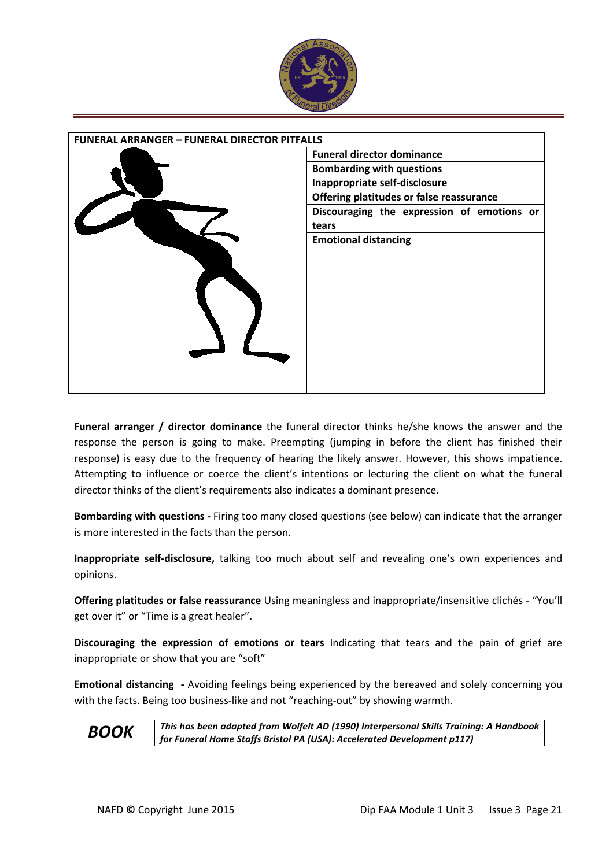

| <b>FUNERAL ARRANGER - FUNERAL DIRECTOR PITFALLS</b> |                                            |
|-----------------------------------------------------|--------------------------------------------|
|                                                     | <b>Funeral director dominance</b>          |
|                                                     | <b>Bombarding with questions</b>           |
|                                                     | Inappropriate self-disclosure              |
|                                                     | Offering platitudes or false reassurance   |
|                                                     | Discouraging the expression of emotions or |
|                                                     | tears                                      |
|                                                     | <b>Emotional distancing</b>                |
|                                                     |                                            |
|                                                     |                                            |
|                                                     |                                            |
|                                                     |                                            |
|                                                     |                                            |
|                                                     |                                            |
|                                                     |                                            |
|                                                     |                                            |
|                                                     |                                            |
|                                                     |                                            |

Funeral arranger / director dominance the funeral director thinks he/she knows the answer and the response the person is going to make. Preempting (jumping in before the client has finished their response) is easy due to the frequency of hearing the likely answer. However, this shows impatience. Attempting to influence or coerce the client's intentions or lecturing the client on what the funeral director thinks of the client's requirements also indicates a dominant presence.

Bombarding with questions - Firing too many closed questions (see below) can indicate that the arranger is more interested in the facts than the person.

Inappropriate self-disclosure, talking too much about self and revealing one's own experiences and opinions.

Offering platitudes or false reassurance Using meaningless and inappropriate/insensitive clichés - "You'll get over it" or "Time is a great healer".

Discouraging the expression of emotions or tears Indicating that tears and the pain of grief are inappropriate or show that you are "soft"

Emotional distancing - Avoiding feelings being experienced by the bereaved and solely concerning you with the facts. Being too business-like and not "reaching-out" by showing warmth.



 $BOOK$  This has been adapted from Wolfelt AD (1990) Interpersonal Skills Training: A Handbook for Funeral Home Staffs Bristol PA (USA): Accelerated Development p117)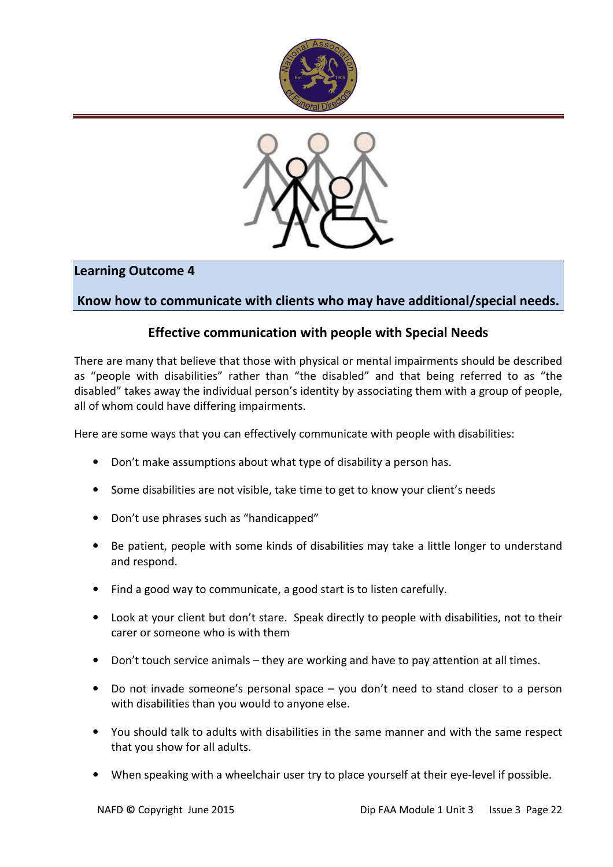



# Learning Outcome 4

## Know how to communicate with clients who may have additional/special needs.

# Effective communication with people with Special Needs

There are many that believe that those with physical or mental impairments should be described as "people with disabilities" rather than "the disabled" and that being referred to as "the disabled" takes away the individual person's identity by associating them with a group of people, all of whom could have differing impairments.

Here are some ways that you can effectively communicate with people with disabilities:

- Don't make assumptions about what type of disability a person has.
- Some disabilities are not visible, take time to get to know your client's needs
- Don't use phrases such as "handicapped"
- Be patient, people with some kinds of disabilities may take a little longer to understand and respond.
- Find a good way to communicate, a good start is to listen carefully.
- Look at your client but don't stare. Speak directly to people with disabilities, not to their carer or someone who is with them
- Don't touch service animals they are working and have to pay attention at all times.
- Do not invade someone's personal space you don't need to stand closer to a person with disabilities than you would to anyone else.
- You should talk to adults with disabilities in the same manner and with the same respect that you show for all adults.
- When speaking with a wheelchair user try to place yourself at their eye-level if possible.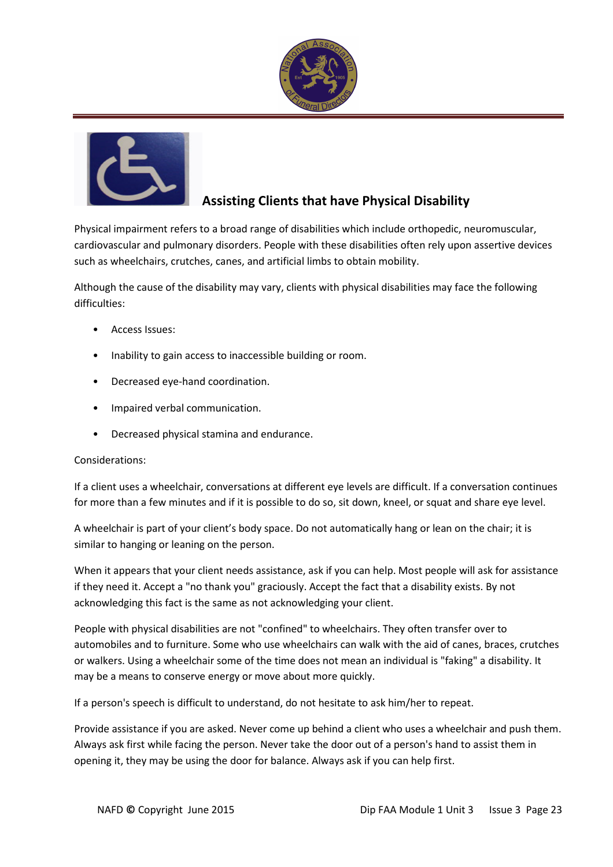



# Assisting Clients that have Physical Disability

Physical impairment refers to a broad range of disabilities which include orthopedic, neuromuscular, cardiovascular and pulmonary disorders. People with these disabilities often rely upon assertive devices such as wheelchairs, crutches, canes, and artificial limbs to obtain mobility.

Although the cause of the disability may vary, clients with physical disabilities may face the following difficulties:

- Access Issues:
- Inability to gain access to inaccessible building or room.
- Decreased eye-hand coordination.
- Impaired verbal communication.
- Decreased physical stamina and endurance.

#### Considerations:

If a client uses a wheelchair, conversations at different eye levels are difficult. If a conversation continues for more than a few minutes and if it is possible to do so, sit down, kneel, or squat and share eye level.

A wheelchair is part of your client's body space. Do not automatically hang or lean on the chair; it is similar to hanging or leaning on the person.

When it appears that your client needs assistance, ask if you can help. Most people will ask for assistance if they need it. Accept a "no thank you" graciously. Accept the fact that a disability exists. By not acknowledging this fact is the same as not acknowledging your client.

People with physical disabilities are not "confined" to wheelchairs. They often transfer over to automobiles and to furniture. Some who use wheelchairs can walk with the aid of canes, braces, crutches or walkers. Using a wheelchair some of the time does not mean an individual is "faking" a disability. It may be a means to conserve energy or move about more quickly.

If a person's speech is difficult to understand, do not hesitate to ask him/her to repeat.

Provide assistance if you are asked. Never come up behind a client who uses a wheelchair and push them. Always ask first while facing the person. Never take the door out of a person's hand to assist them in opening it, they may be using the door for balance. Always ask if you can help first.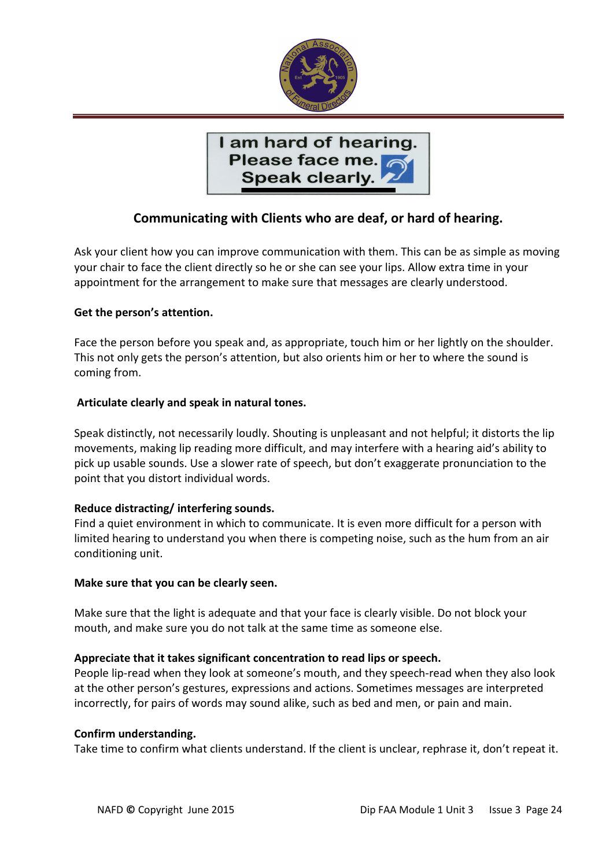

I am hard of hearing. Please face me. Speak clearly.

# Communicating with Clients who are deaf, or hard of hearing.

Ask your client how you can improve communication with them. This can be as simple as moving your chair to face the client directly so he or she can see your lips. Allow extra time in your appointment for the arrangement to make sure that messages are clearly understood.

#### Get the person's attention.

Face the person before you speak and, as appropriate, touch him or her lightly on the shoulder. This not only gets the person's attention, but also orients him or her to where the sound is coming from.

#### Articulate clearly and speak in natural tones.

Speak distinctly, not necessarily loudly. Shouting is unpleasant and not helpful; it distorts the lip movements, making lip reading more difficult, and may interfere with a hearing aid's ability to pick up usable sounds. Use a slower rate of speech, but don't exaggerate pronunciation to the point that you distort individual words.

#### Reduce distracting/ interfering sounds.

Find a quiet environment in which to communicate. It is even more difficult for a person with limited hearing to understand you when there is competing noise, such as the hum from an air conditioning unit.

#### Make sure that you can be clearly seen.

Make sure that the light is adequate and that your face is clearly visible. Do not block your mouth, and make sure you do not talk at the same time as someone else.

#### Appreciate that it takes significant concentration to read lips or speech.

People lip-read when they look at someone's mouth, and they speech-read when they also look at the other person's gestures, expressions and actions. Sometimes messages are interpreted incorrectly, for pairs of words may sound alike, such as bed and men, or pain and main.

#### Confirm understanding.

Take time to confirm what clients understand. If the client is unclear, rephrase it, don't repeat it.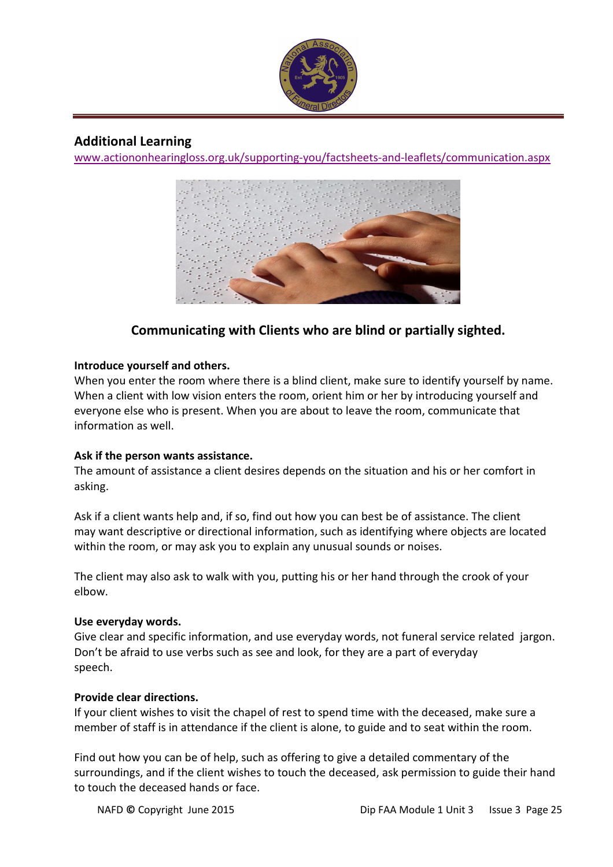

### Additional Learning

www.actiononhearingloss.org.uk/supporting-you/factsheets-and-leaflets/communication.aspx



# Communicating with Clients who are blind or partially sighted.

#### Introduce yourself and others.

When you enter the room where there is a blind client, make sure to identify yourself by name. When a client with low vision enters the room, orient him or her by introducing yourself and everyone else who is present. When you are about to leave the room, communicate that information as well.

#### Ask if the person wants assistance.

The amount of assistance a client desires depends on the situation and his or her comfort in asking.

Ask if a client wants help and, if so, find out how you can best be of assistance. The client may want descriptive or directional information, such as identifying where objects are located within the room, or may ask you to explain any unusual sounds or noises.

The client may also ask to walk with you, putting his or her hand through the crook of your elbow.

#### Use everyday words.

Give clear and specific information, and use everyday words, not funeral service related jargon. Don't be afraid to use verbs such as see and look, for they are a part of everyday speech.

#### Provide clear directions.

If your client wishes to visit the chapel of rest to spend time with the deceased, make sure a member of staff is in attendance if the client is alone, to guide and to seat within the room.

Find out how you can be of help, such as offering to give a detailed commentary of the surroundings, and if the client wishes to touch the deceased, ask permission to guide their hand to touch the deceased hands or face.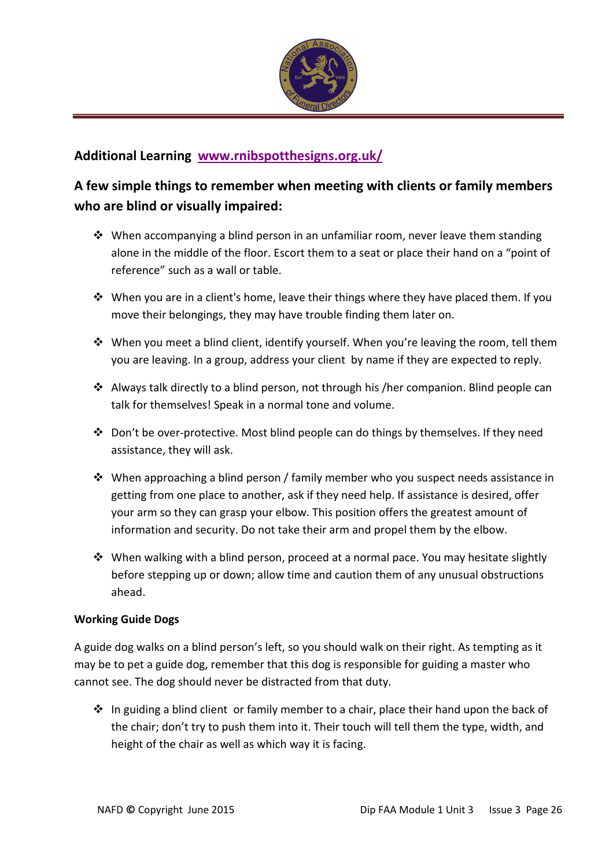

# Additional Learning www.rnibspotthesigns.org.uk/

# A few simple things to remember when meeting with clients or family members who are blind or visually impaired:

- When accompanying a blind person in an unfamiliar room, never leave them standing alone in the middle of the floor. Escort them to a seat or place their hand on a "point of reference" such as a wall or table.
- When you are in a client's home, leave their things where they have placed them. If you move their belongings, they may have trouble finding them later on.
- When you meet a blind client, identify yourself. When you're leaving the room, tell them you are leaving. In a group, address your client by name if they are expected to reply.
- Always talk directly to a blind person, not through his /her companion. Blind people can talk for themselves! Speak in a normal tone and volume.
- Don't be over-protective. Most blind people can do things by themselves. If they need assistance, they will ask.
- When approaching a blind person / family member who you suspect needs assistance in getting from one place to another, ask if they need help. If assistance is desired, offer your arm so they can grasp your elbow. This position offers the greatest amount of information and security. Do not take their arm and propel them by the elbow.
- When walking with a blind person, proceed at a normal pace. You may hesitate slightly before stepping up or down; allow time and caution them of any unusual obstructions ahead.

#### Working Guide Dogs

A guide dog walks on a blind person's left, so you should walk on their right. As tempting as it may be to pet a guide dog, remember that this dog is responsible for guiding a master who cannot see. The dog should never be distracted from that duty.

- In guiding a blind client or family member to a chair, place their hand upon the back of the chair; don't try to push them into it. Their touch will tell them the type, width, and height of the chair as well as which way it is facing.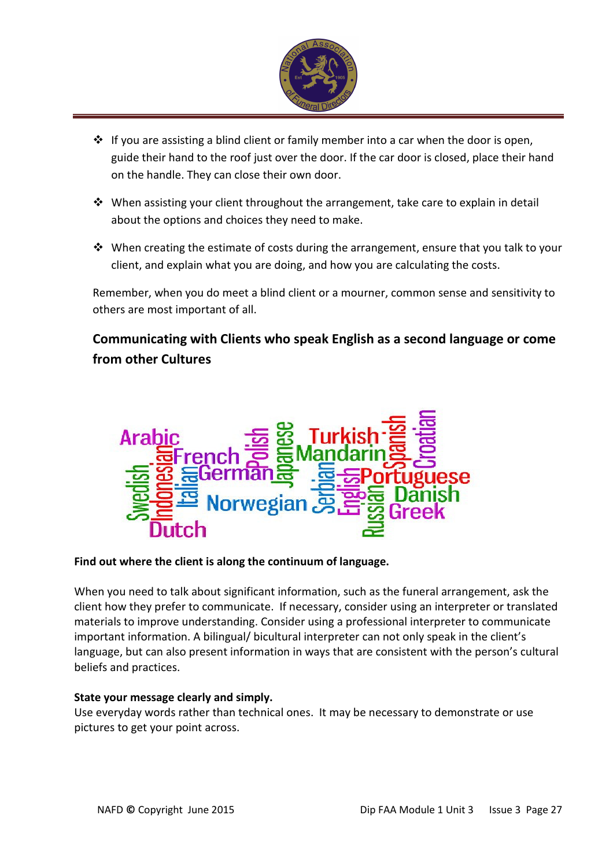

- If you are assisting a blind client or family member into a car when the door is open, guide their hand to the roof just over the door. If the car door is closed, place their hand on the handle. They can close their own door.
- When assisting your client throughout the arrangement, take care to explain in detail about the options and choices they need to make.
- When creating the estimate of costs during the arrangement, ensure that you talk to your client, and explain what you are doing, and how you are calculating the costs.

Remember, when you do meet a blind client or a mourner, common sense and sensitivity to others are most important of all.

# Communicating with Clients who speak English as a second language or come from other Cultures



#### Find out where the client is along the continuum of language.

When you need to talk about significant information, such as the funeral arrangement, ask the client how they prefer to communicate. If necessary, consider using an interpreter or translated materials to improve understanding. Consider using a professional interpreter to communicate important information. A bilingual/ bicultural interpreter can not only speak in the client's language, but can also present information in ways that are consistent with the person's cultural beliefs and practices.

#### State your message clearly and simply.

Use everyday words rather than technical ones. It may be necessary to demonstrate or use pictures to get your point across.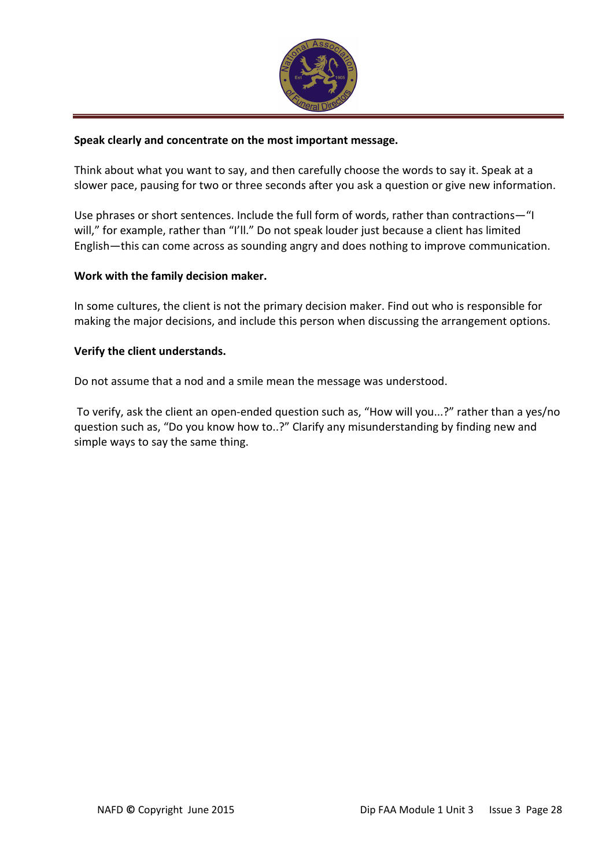

#### Speak clearly and concentrate on the most important message.

Think about what you want to say, and then carefully choose the words to say it. Speak at a slower pace, pausing for two or three seconds after you ask a question or give new information.

Use phrases or short sentences. Include the full form of words, rather than contractions—"I will," for example, rather than "I'll." Do not speak louder just because a client has limited English—this can come across as sounding angry and does nothing to improve communication.

#### Work with the family decision maker.

In some cultures, the client is not the primary decision maker. Find out who is responsible for making the major decisions, and include this person when discussing the arrangement options.

#### Verify the client understands.

Do not assume that a nod and a smile mean the message was understood.

 To verify, ask the client an open-ended question such as, "How will you...?" rather than a yes/no question such as, "Do you know how to..?" Clarify any misunderstanding by finding new and simple ways to say the same thing.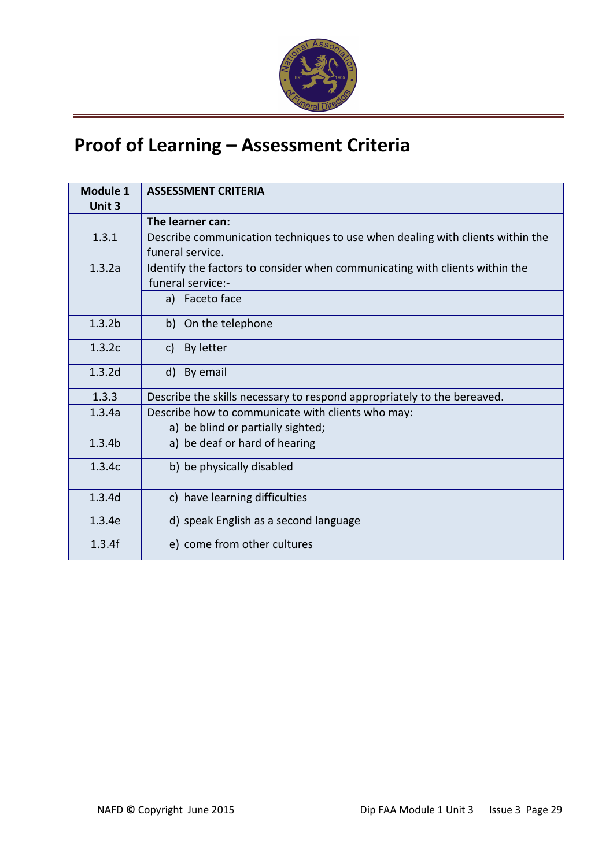

# Proof of Learning – Assessment Criteria

| Module 1<br>Unit 3 | <b>ASSESSMENT CRITERIA</b>                                                                                         |
|--------------------|--------------------------------------------------------------------------------------------------------------------|
|                    | The learner can:                                                                                                   |
| 1.3.1              | Describe communication techniques to use when dealing with clients within the<br>funeral service.                  |
| 1.3.2a             | Identify the factors to consider when communicating with clients within the<br>funeral service:-<br>a) Faceto face |
| 1.3.2 <sub>b</sub> | b) On the telephone                                                                                                |
| 1.3.2c             | By letter<br>C)                                                                                                    |
| 1.3.2d             | d) By email                                                                                                        |
| 1.3.3              | Describe the skills necessary to respond appropriately to the bereaved.                                            |
| 1.3.4a             | Describe how to communicate with clients who may:<br>a) be blind or partially sighted;                             |
| 1.3.4 <sub>b</sub> | a) be deaf or hard of hearing                                                                                      |
| 1.3.4c             | b) be physically disabled                                                                                          |
| 1.3.4d             | c) have learning difficulties                                                                                      |
| 1.3.4e             | d) speak English as a second language                                                                              |
| 1.3.4f             | e) come from other cultures                                                                                        |